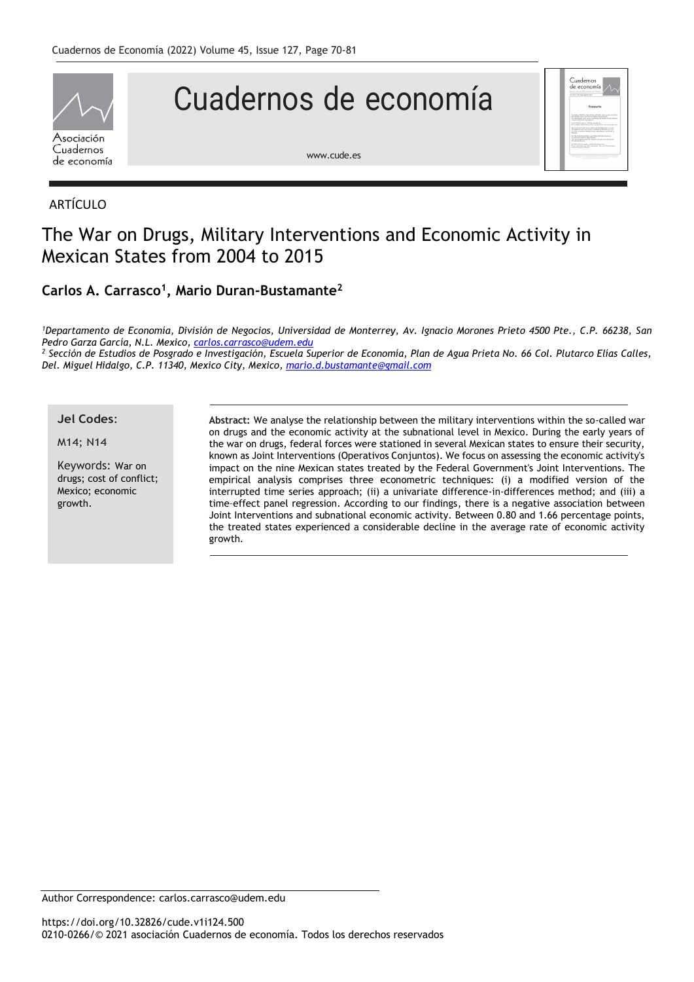

# Cuadernos de economía



[www.cude.es](http://www.cude.es/)

### ARTÍCULO

# The War on Drugs, Military Interventions and Economic Activity in Mexican States from 2004 to 2015

## **Carlos A. Carrasco<sup>1</sup> , Mario Duran-Bustamante<sup>2</sup>**

*<sup>1</sup>Departamento de Economía, División de Negocios, Universidad de Monterrey, Av. Ignacio Morones Prieto 4500 Pte., C.P. 66238, San Pedro Garza García, N.L. Mexico, [carlos.carrasco@udem.edu](mailto:carlos.carrasco@udem.edu)*

*<sup>2</sup> Sección de Estudios de Posgrado e Investigación, Escuela Superior de Economía, Plan de Agua Prieta No. 66 Col. Plutarco Elías Calles, Del. Miguel Hidalgo, C.P. 11340, Mexico City, Mexico, [mario.d.bustamante@gmail.com](mailto:mario.d.bustamante@gmail.com)*

#### **Jel Codes**:

M14; N14

Keywords: War on drugs; cost of conflict; Mexico; economic growth.

**Abstract:** We analyse the relationship between the military interventions within the so-called war on drugs and the economic activity at the subnational level in Mexico. During the early years of the war on drugs, federal forces were stationed in several Mexican states to ensure their security, known as Joint Interventions (Operativos Conjuntos). We focus on assessing the economic activity's impact on the nine Mexican states treated by the Federal Government's Joint Interventions. The empirical analysis comprises three econometric techniques: (i) a modified version of the interrupted time series approach; (ii) a univariate difference-in-differences method; and (iii) a time–effect panel regression. According to our findings, there is a negative association between Joint Interventions and subnational economic activity. Between 0.80 and 1.66 percentage points, the treated states experienced a considerable decline in the average rate of economic activity growth.

Author Correspondence: carlos.carrasco@udem.edu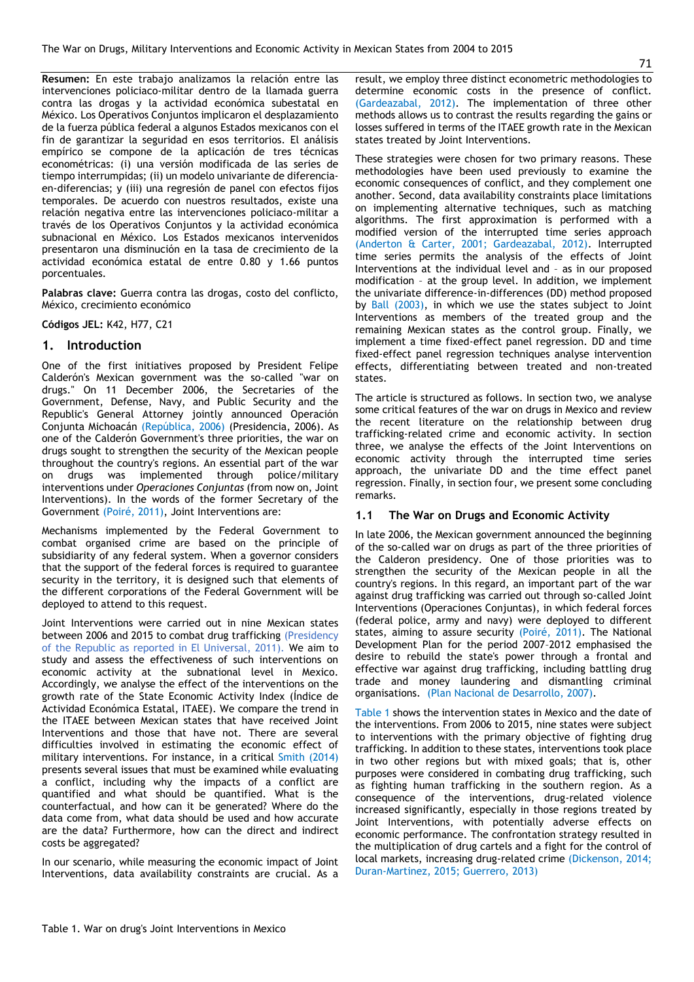**Resumen:** En este trabajo analizamos la relación entre las intervenciones policiaco-militar dentro de la llamada guerra contra las drogas y la actividad económica subestatal en México. Los Operativos Conjuntos implicaron el desplazamiento de la fuerza pública federal a algunos Estados mexicanos con el fin de garantizar la seguridad en esos territorios. El análisis empírico se compone de la aplicación de tres técnicas econométricas: (i) una versión modificada de las series de tiempo interrumpidas; (ii) un modelo univariante de diferenciaen-diferencias; y (iii) una regresión de panel con efectos fijos temporales. De acuerdo con nuestros resultados, existe una relación negativa entre las intervenciones policiaco-militar a través de los Operativos Conjuntos y la actividad económica subnacional en México. Los Estados mexicanos intervenidos presentaron una disminución en la tasa de crecimiento de la actividad económica estatal de entre 0.80 y 1.66 puntos porcentuales.

**Palabras clave:** Guerra contra las drogas, costo del conflicto, México, crecimiento económico

**Códigos JEL:** K42, H77, C21

#### **1. Introduction**

One of the first initiatives proposed by President Felipe Calderón's Mexican government was the so-called "war on drugs." On 11 December 2006, the Secretaries of the Government, Defense, Navy, and Public Security and the Republic's General Attorney jointly announced Operación Conjunta Michoacán (República, 2006) (Presidencia, 2006). As one of the Calderón Government's three priorities, the war on drugs sought to strengthen the security of the Mexican people throughout the country's regions. An essential part of the war on drugs was implemented through police/military interventions under *Operaciones Conjuntas* (from now on, Joint Interventions). In the words of the former Secretary of the Government (Poiré, 2011), Joint Interventions are:

Mechanisms implemented by the Federal Government to combat organised crime are based on the principle of subsidiarity of any federal system. When a governor considers that the support of the federal forces is required to guarantee security in the territory, it is designed such that elements of the different corporations of the Federal Government will be deployed to attend to this request.

Joint Interventions were carried out in nine Mexican states between 2006 and 2015 to combat drug trafficking (Presidency of the Republic as reported in El Universal, 2011). We aim to study and assess the effectiveness of such interventions on economic activity at the subnational level in Mexico. Accordingly, we analyse the effect of the interventions on the growth rate of the State Economic Activity Index (Índice de Actividad Económica Estatal, ITAEE). We compare the trend in the ITAEE between Mexican states that have received Joint Interventions and those that have not. There are several difficulties involved in estimating the economic effect of military interventions. For instance, in a critical Smith (2014) presents several issues that must be examined while evaluating a conflict, including why the impacts of a conflict are quantified and what should be quantified. What is the counterfactual, and how can it be generated? Where do the data come from, what data should be used and how accurate are the data? Furthermore, how can the direct and indirect costs be aggregated?

In our scenario, while measuring the economic impact of Joint Interventions, data availability constraints are crucial. As a

result, we employ three distinct econometric methodologies to determine economic costs in the presence of conflict. (Gardeazabal, 2012). The implementation of three other methods allows us to contrast the results regarding the gains or losses suffered in terms of the ITAEE growth rate in the Mexican states treated by Joint Interventions.

These strategies were chosen for two primary reasons. These methodologies have been used previously to examine the economic consequences of conflict, and they complement one another. Second, data availability constraints place limitations on implementing alternative techniques, such as matching algorithms. The first approximation is performed with a modified version of the interrupted time series approach (Anderton & Carter, 2001; Gardeazabal, 2012). Interrupted time series permits the analysis of the effects of Joint Interventions at the individual level and – as in our proposed modification – at the group level. In addition, we implement the univariate difference-in-differences (DD) method proposed by Ball (2003), in which we use the states subject to Joint Interventions as members of the treated group and the remaining Mexican states as the control group. Finally, we implement a time fixed-effect panel regression. DD and time fixed-effect panel regression techniques analyse intervention effects, differentiating between treated and non-treated states.

The article is structured as follows. In section two, we analyse some critical features of the war on drugs in Mexico and review the recent literature on the relationship between drug trafficking-related crime and economic activity. In section three, we analyse the effects of the Joint Interventions on economic activity through the interrupted time series approach, the univariate DD and the time effect panel regression. Finally, in section four, we present some concluding remarks.

#### **1.1 The War on Drugs and Economic Activity**

In late 2006, the Mexican government announced the beginning of the so-called war on drugs as part of the three priorities of the Calderon presidency. One of those priorities was to strengthen the security of the Mexican people in all the country's regions. In this regard, an important part of the war against drug trafficking was carried out through so-called Joint Interventions (Operaciones Conjuntas), in which federal forces (federal police, army and navy) were deployed to different states, aiming to assure security (Poiré, 2011). The National Development Plan for the period 2007–2012 emphasised the desire to rebuild the state's power through a frontal and effective war against drug trafficking, including battling drug trade and money laundering and dismantling criminal organisations. (Plan Nacional de Desarrollo, 2007).

Table 1 shows the intervention states in Mexico and the date of the interventions. From 2006 to 2015, nine states were subject to interventions with the primary objective of fighting drug trafficking. In addition to these states, interventions took place in two other regions but with mixed goals; that is, other purposes were considered in combating drug trafficking, such as fighting human trafficking in the southern region. As a consequence of the interventions, drug-related violence increased significantly, especially in those regions treated by Joint Interventions, with potentially adverse effects on economic performance. The confrontation strategy resulted in the multiplication of drug cartels and a fight for the control of local markets, increasing drug-related crime (Dickenson, 2014; Duran-Martinez, 2015; Guerrero, 2013)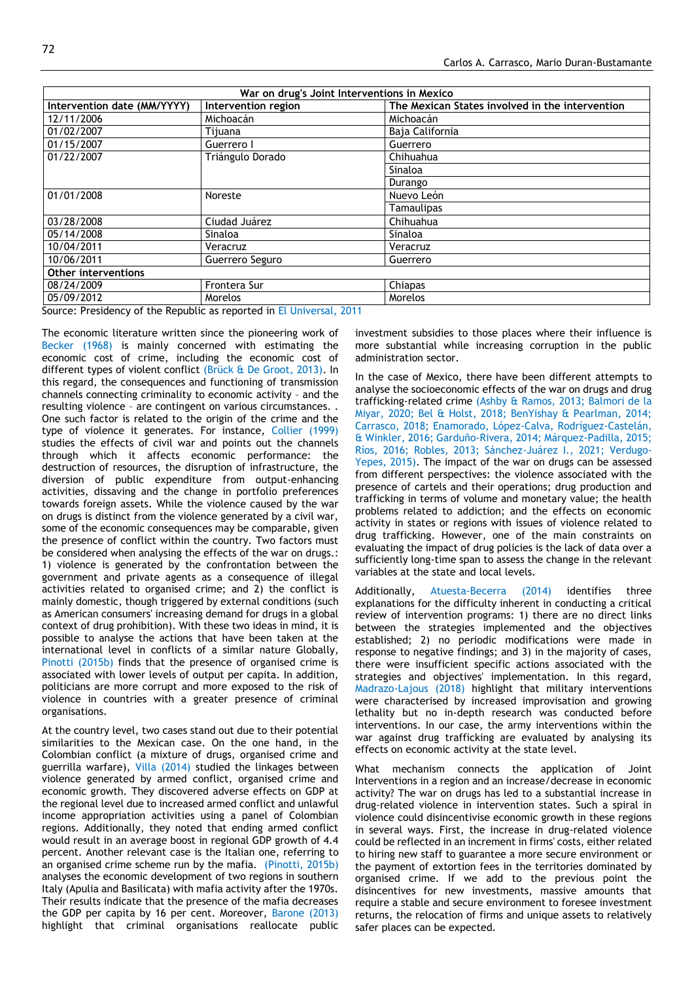| War on drug's Joint Interventions in Mexico |                                                                                                                                                                                                                                                     |                                                 |  |  |  |
|---------------------------------------------|-----------------------------------------------------------------------------------------------------------------------------------------------------------------------------------------------------------------------------------------------------|-------------------------------------------------|--|--|--|
| Intervention date (MM/YYYY)                 | Intervention region                                                                                                                                                                                                                                 | The Mexican States involved in the intervention |  |  |  |
| 12/11/2006                                  | Michoacán                                                                                                                                                                                                                                           | Michoacán                                       |  |  |  |
| 01/02/2007                                  | Tiiuana                                                                                                                                                                                                                                             | Baja California                                 |  |  |  |
| 01/15/2007                                  | Guerrero I                                                                                                                                                                                                                                          | Guerrero                                        |  |  |  |
| 01/22/2007                                  | Triángulo Dorado                                                                                                                                                                                                                                    | Chihuahua                                       |  |  |  |
|                                             |                                                                                                                                                                                                                                                     | Sinaloa                                         |  |  |  |
|                                             |                                                                                                                                                                                                                                                     | Durango                                         |  |  |  |
| 01/01/2008                                  | Noreste                                                                                                                                                                                                                                             | Nuevo León                                      |  |  |  |
|                                             |                                                                                                                                                                                                                                                     | Tamaulipas                                      |  |  |  |
| 03/28/2008                                  | Ciudad Juárez                                                                                                                                                                                                                                       | Chihuahua                                       |  |  |  |
| 05/14/2008                                  | Sinaloa                                                                                                                                                                                                                                             | Sinaloa                                         |  |  |  |
| 10/04/2011                                  | Veracruz                                                                                                                                                                                                                                            | Veracruz                                        |  |  |  |
| 10/06/2011                                  | Guerrero Seguro                                                                                                                                                                                                                                     | Guerrero                                        |  |  |  |
| <b>Other interventions</b>                  |                                                                                                                                                                                                                                                     |                                                 |  |  |  |
| 08/24/2009                                  | Frontera Sur                                                                                                                                                                                                                                        | Chiapas                                         |  |  |  |
| 05/09/2012<br>$\sim$ $\sim$ $\sim$<br>.     | <b>Morelos</b><br>$\mathbf{r}$ . The set of the set of the set of the set of the set of the set of the set of the set of the set of the set of the set of the set of the set of the set of the set of the set of the set of the set of the set of t | Morelos                                         |  |  |  |

Source: Presidency of the Republic as reported in El Universal, 2011

The economic literature written since the pioneering work of Becker (1968) is mainly concerned with estimating the economic cost of crime, including the economic cost of different types of violent conflict (Brück & De Groot, 2013). In this regard, the consequences and functioning of transmission channels connecting criminality to economic activity – and the resulting violence – are contingent on various circumstances. . One such factor is related to the origin of the crime and the type of violence it generates. For instance, Collier (1999) studies the effects of civil war and points out the channels through which it affects economic performance: the destruction of resources, the disruption of infrastructure, the diversion of public expenditure from output-enhancing activities, dissaving and the change in portfolio preferences towards foreign assets. While the violence caused by the war on drugs is distinct from the violence generated by a civil war, some of the economic consequences may be comparable, given the presence of conflict within the country. Two factors must be considered when analysing the effects of the war on drugs.: 1) violence is generated by the confrontation between the government and private agents as a consequence of illegal activities related to organised crime; and 2) the conflict is mainly domestic, though triggered by external conditions (such as American consumers' increasing demand for drugs in a global context of drug prohibition). With these two ideas in mind, it is possible to analyse the actions that have been taken at the international level in conflicts of a similar nature Globally, Pinotti (2015b) finds that the presence of organised crime is associated with lower levels of output per capita. In addition, politicians are more corrupt and more exposed to the risk of violence in countries with a greater presence of criminal organisations.

At the country level, two cases stand out due to their potential similarities to the Mexican case. On the one hand, in the Colombian conflict (a mixture of drugs, organised crime and guerrilla warfare), Villa (2014) studied the linkages between violence generated by armed conflict, organised crime and economic growth. They discovered adverse effects on GDP at the regional level due to increased armed conflict and unlawful income appropriation activities using a panel of Colombian regions. Additionally, they noted that ending armed conflict would result in an average boost in regional GDP growth of 4.4 percent. Another relevant case is the Italian one, referring to an organised crime scheme run by the mafia. (Pinotti, 2015b) analyses the economic development of two regions in southern Italy (Apulia and Basilicata) with mafia activity after the 1970s. Their results indicate that the presence of the mafia decreases the GDP per capita by 16 per cent. Moreover, Barone (2013) highlight that criminal organisations reallocate public

investment subsidies to those places where their influence is more substantial while increasing corruption in the public administration sector.

In the case of Mexico, there have been different attempts to analyse the socioeconomic effects of the war on drugs and drug trafficking-related crime (Ashby & Ramos, 2013; Balmori de la Miyar, 2020; Bel & Holst, 2018; BenYishay & Pearlman, 2014; Carrasco, 2018; Enamorado, López-Calva, Rodríguez-Castelán, & Winkler, 2016; Garduño-Rivera, 2014; Márquez-Padilla, 2015; Ríos, 2016; Robles, 2013; Sánchez-Juárez I., 2021; Verdugo-Yepes, 2015). The impact of the war on drugs can be assessed from different perspectives: the violence associated with the presence of cartels and their operations; drug production and trafficking in terms of volume and monetary value; the health problems related to addiction; and the effects on economic activity in states or regions with issues of violence related to drug trafficking. However, one of the main constraints on evaluating the impact of drug policies is the lack of data over a sufficiently long-time span to assess the change in the relevant variables at the state and local levels.

Additionally, Atuesta-Becerra (2014) identifies three explanations for the difficulty inherent in conducting a critical review of intervention programs: 1) there are no direct links between the strategies implemented and the objectives established; 2) no periodic modifications were made in response to negative findings; and 3) in the majority of cases, there were insufficient specific actions associated with the strategies and objectives' implementation. In this regard, Madrazo-Lajous (2018) highlight that military interventions were characterised by increased improvisation and growing lethality but no in-depth research was conducted before interventions. In our case, the army interventions within the war against drug trafficking are evaluated by analysing its effects on economic activity at the state level.

What mechanism connects the application of Joint Interventions in a region and an increase/decrease in economic activity? The war on drugs has led to a substantial increase in drug-related violence in intervention states. Such a spiral in violence could disincentivise economic growth in these regions in several ways. First, the increase in drug-related violence could be reflected in an increment in firms' costs, either related to hiring new staff to guarantee a more secure environment or the payment of extortion fees in the territories dominated by organised crime. If we add to the previous point the disincentives for new investments, massive amounts that require a stable and secure environment to foresee investment returns, the relocation of firms and unique assets to relatively safer places can be expected.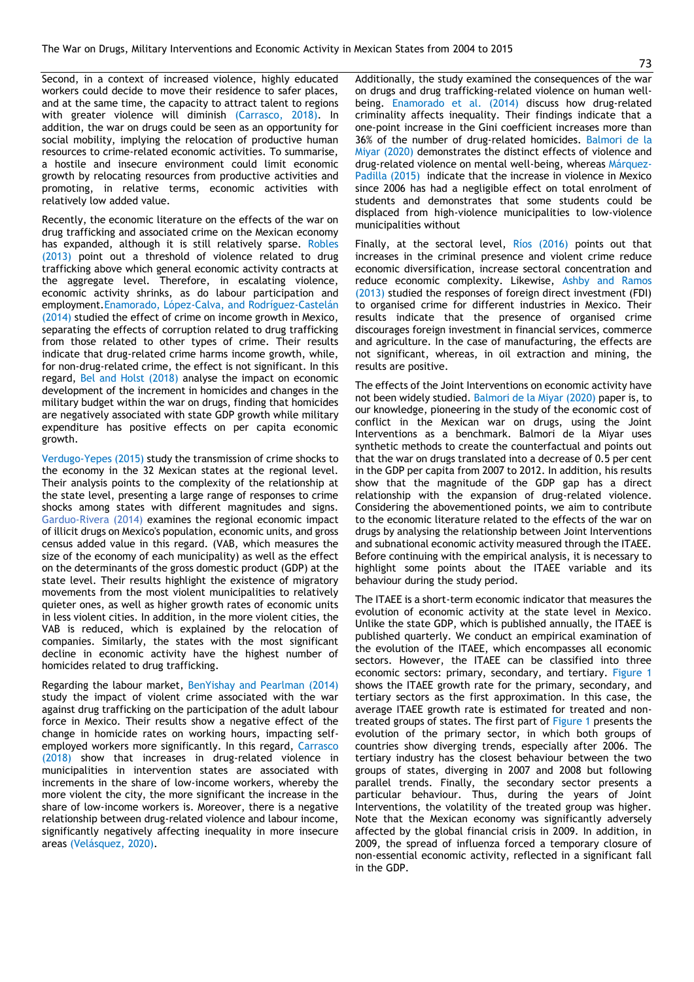Second, in a context of increased violence, highly educated workers could decide to move their residence to safer places, and at the same time, the capacity to attract talent to regions with greater violence will diminish (Carrasco, 2018). In addition, the war on drugs could be seen as an opportunity for social mobility, implying the relocation of productive human resources to crime-related economic activities. To summarise, a hostile and insecure environment could limit economic growth by relocating resources from productive activities and promoting, in relative terms, economic activities with relatively low added value.

Recently, the economic literature on the effects of the war on drug trafficking and associated crime on the Mexican economy has expanded, although it is still relatively sparse. Robles (2013) point out a threshold of violence related to drug trafficking above which general economic activity contracts at the aggregate level. Therefore, in escalating violence, economic activity shrinks, as do labour participation and employment.Enamorado, López-Calva, and Rodríguez-Castelán (2014) studied the effect of crime on income growth in Mexico, separating the effects of corruption related to drug trafficking from those related to other types of crime. Their results indicate that drug-related crime harms income growth, while, for non-drug-related crime, the effect is not significant. In this regard, Bel and Holst (2018) analyse the impact on economic development of the increment in homicides and changes in the military budget within the war on drugs, finding that homicides are negatively associated with state GDP growth while military expenditure has positive effects on per capita economic growth.

Verdugo-Yepes (2015) study the transmission of crime shocks to the economy in the 32 Mexican states at the regional level. Their analysis points to the complexity of the relationship at the state level, presenting a large range of responses to crime shocks among states with different magnitudes and signs. Garduo-Rivera (2014) examines the regional economic impact of illicit drugs on Mexico's population, economic units, and gross census added value in this regard. (VAB, which measures the size of the economy of each municipality) as well as the effect on the determinants of the gross domestic product (GDP) at the state level. Their results highlight the existence of migratory movements from the most violent municipalities to relatively quieter ones, as well as higher growth rates of economic units in less violent cities. In addition, in the more violent cities, the VAB is reduced, which is explained by the relocation of companies. Similarly, the states with the most significant decline in economic activity have the highest number of homicides related to drug trafficking.

Regarding the labour market, BenYishay and Pearlman (2014) study the impact of violent crime associated with the war against drug trafficking on the participation of the adult labour force in Mexico. Their results show a negative effect of the change in homicide rates on working hours, impacting selfemployed workers more significantly. In this regard, Carrasco (2018) show that increases in drug-related violence in municipalities in intervention states are associated with increments in the share of low-income workers, whereby the more violent the city, the more significant the increase in the share of low-income workers is. Moreover, there is a negative relationship between drug-related violence and labour income, significantly negatively affecting inequality in more insecure areas (Velásquez, 2020).

Additionally, the study examined the consequences of the war on drugs and drug trafficking-related violence on human wellbeing. Enamorado et al. (2014) discuss how drug-related criminality affects inequality. Their findings indicate that a one-point increase in the Gini coefficient increases more than 36% of the number of drug-related homicides. Balmori de la Miyar (2020) demonstrates the distinct effects of violence and drug-related violence on mental well-being, whereas Márquez-Padilla (2015) indicate that the increase in violence in Mexico since 2006 has had a negligible effect on total enrolment of students and demonstrates that some students could be displaced from high-violence municipalities to low-violence municipalities without

Finally, at the sectoral level, Ríos (2016) points out that increases in the criminal presence and violent crime reduce economic diversification, increase sectoral concentration and reduce economic complexity. Likewise, Ashby and Ramos (2013) studied the responses of foreign direct investment (FDI) to organised crime for different industries in Mexico. Their results indicate that the presence of organised crime discourages foreign investment in financial services, commerce and agriculture. In the case of manufacturing, the effects are not significant, whereas, in oil extraction and mining, the results are positive.

The effects of the Joint Interventions on economic activity have not been widely studied. Balmori de la Miyar (2020) paper is, to our knowledge, pioneering in the study of the economic cost of conflict in the Mexican war on drugs, using the Joint Interventions as a benchmark. Balmori de la Miyar uses synthetic methods to create the counterfactual and points out that the war on drugs translated into a decrease of 0.5 per cent in the GDP per capita from 2007 to 2012. In addition, his results show that the magnitude of the GDP gap has a direct relationship with the expansion of drug-related violence. Considering the abovementioned points, we aim to contribute to the economic literature related to the effects of the war on drugs by analysing the relationship between Joint Interventions and subnational economic activity measured through the ITAEE. Before continuing with the empirical analysis, it is necessary to highlight some points about the ITAEE variable and its behaviour during the study period.

The ITAEE is a short-term economic indicator that measures the evolution of economic activity at the state level in Mexico. Unlike the state GDP, which is published annually, the ITAEE is published quarterly. We conduct an empirical examination of the evolution of the ITAEE, which encompasses all economic sectors. However, the ITAEE can be classified into three economic sectors: primary, secondary, and tertiary. Figure 1 shows the ITAEE growth rate for the primary, secondary, and tertiary sectors as the first approximation. In this case, the average ITAEE growth rate is estimated for treated and nontreated groups of states. The first part of Figure 1 presents the evolution of the primary sector, in which both groups of countries show diverging trends, especially after 2006. The tertiary industry has the closest behaviour between the two groups of states, diverging in 2007 and 2008 but following parallel trends. Finally, the secondary sector presents a particular behaviour. Thus, during the years of Joint Interventions, the volatility of the treated group was higher. Note that the Mexican economy was significantly adversely affected by the global financial crisis in 2009. In addition, in 2009, the spread of influenza forced a temporary closure of non-essential economic activity, reflected in a significant fall in the GDP.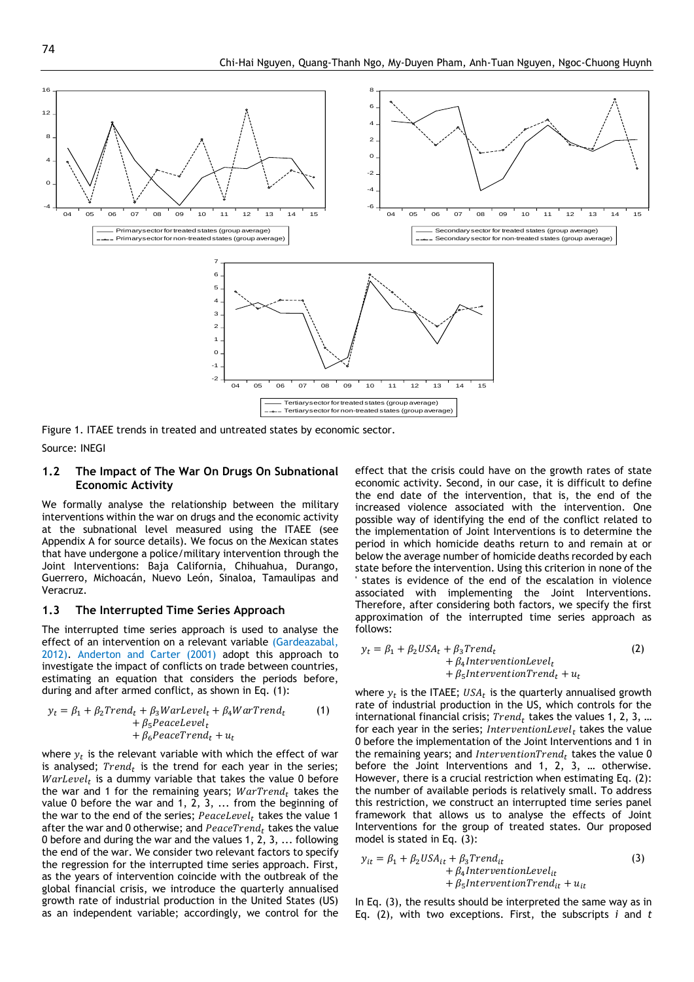

Figure 1. ITAEE trends in treated and untreated states by economic sector.

#### Source: INEGI

#### **1.2 The Impact of The War On Drugs On Subnational Economic Activity**

We formally analyse the relationship between the military interventions within the war on drugs and the economic activity at the subnational level measured using the ITAEE (see Appendix A for source details). We focus on the Mexican states that have undergone a police/military intervention through the Joint Interventions: Baja California, Chihuahua, Durango, Guerrero, Michoacán, Nuevo León, Sinaloa, Tamaulipas and Veracruz.

#### **1.3 The Interrupted Time Series Approach**

The interrupted time series approach is used to analyse the effect of an intervention on a relevant variable (Gardeazabal, 2012). Anderton and Carter (2001) adopt this approach to investigate the impact of conflicts on trade between countries, estimating an equation that considers the periods before, during and after armed conflict, as shown in Eq. (1):

$$
y_t = \beta_1 + \beta_2 Trend_t + \beta_3 Warlevel_t + \beta_4 WarrTrend_t + \beta_5 Peacelevel_t + \beta_6 Peacefrend_t + u_t
$$
 (1)

where  $y_t$  is the relevant variable with which the effect of war is analysed;  $Trend_t$  is the trend for each year in the series;  $\textit{WarLevel}_t$  is a dummy variable that takes the value 0 before the war and 1 for the remaining years;  $WarTrend_t$  takes the value 0 before the war and 1, 2, 3, ... from the beginning of the war to the end of the series;  $\textit{PaaceLevel}_t$  takes the value 1 after the war and 0 otherwise; and  $\textit{PeaceTrend}_t$  takes the value 0 before and during the war and the values 1, 2, 3, ... following the end of the war. We consider two relevant factors to specify the regression for the interrupted time series approach. First, as the years of intervention coincide with the outbreak of the global financial crisis, we introduce the quarterly annualised growth rate of industrial production in the United States (US) as an independent variable; accordingly, we control for the

effect that the crisis could have on the growth rates of state economic activity. Second, in our case, it is difficult to define the end date of the intervention, that is, the end of the increased violence associated with the intervention. One possible way of identifying the end of the conflict related to the implementation of Joint Interventions is to determine the period in which homicide deaths return to and remain at or below the average number of homicide deaths recorded by each state before the intervention. Using this criterion in none of the states is evidence of the end of the escalation in violence associated with implementing the Joint Interventions. Therefore, after considering both factors, we specify the first approximation of the interrupted time series approach as follows:

$$
y_t = \beta_1 + \beta_2 USA_t + \beta_3Trend_t + \beta_4InterventionLevel_t + \beta_5InterventionTrend_t + u_t
$$
\n(2)

where  $y_t$  is the ITAEE;  $\mathit{USA}_t$  is the quarterly annualised growth rate of industrial production in the US, which controls for the international financial crisis;  $Trend_t$  takes the values 1, 2, 3, ... for each year in the series; InterventionLevel<sub>t</sub> takes the value 0 before the implementation of the Joint Interventions and 1 in the remaining years; and InterventionTrend<sub>t</sub> takes the value 0 before the Joint Interventions and 1, 2, 3, … otherwise. However, there is a crucial restriction when estimating Eq. (2): the number of available periods is relatively small. To address this restriction, we construct an interrupted time series panel framework that allows us to analyse the effects of Joint Interventions for the group of treated states. Our proposed model is stated in Eq. (3):

$$
y_{it} = \beta_1 + \beta_2 USA_{it} + \beta_3Trend_{it}
$$
  
+  $\beta_4$ InterventionLevel<sub>it</sub>  
+  $\beta_5$ InterventionTrend<sub>it</sub> +  $u_{it}$ 

In Eq. (3), the results should be interpreted the same way as in Eq. (2), with two exceptions. First, the subscripts *i* and *t*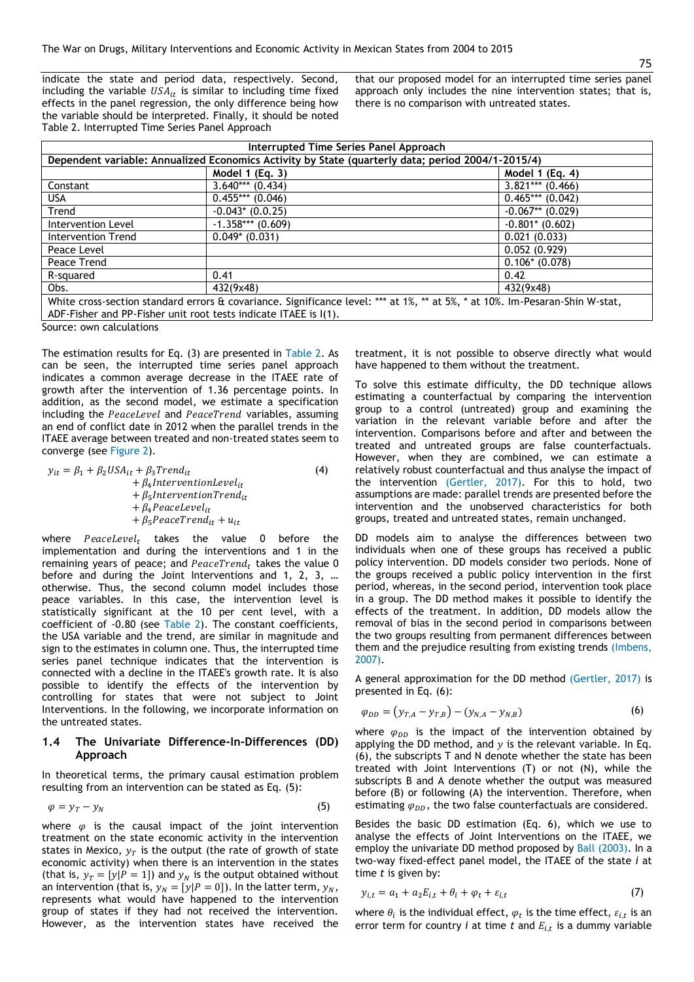indicate the state and period data, respectively. Second, including the variable  $USA_{it}$  is similar to including time fixed effects in the panel regression, the only difference being how the variable should be interpreted. Finally, it should be noted Table 2. Interrupted Time Series Panel Approach

that our proposed model for an interrupted time series panel approach only includes the nine intervention states; that is, there is no comparison with untreated states.

| Interrupted Time Series Panel Approach                                                                                       |                     |                    |  |  |
|------------------------------------------------------------------------------------------------------------------------------|---------------------|--------------------|--|--|
| Dependent variable: Annualized Economics Activity by State (quarterly data; period 2004/1-2015/4)                            |                     |                    |  |  |
|                                                                                                                              | Model 1 (Eq. 3)     | Model 1 $(Eq. 4)$  |  |  |
| Constant                                                                                                                     | $3.640***$ (0.434)  | $3.821***$ (0.466) |  |  |
| <b>USA</b>                                                                                                                   | $0.455***(0.046)$   | $0.465***(0.042)$  |  |  |
| Trend                                                                                                                        | $-0.043$ * (0.0.25) | $-0.067**$ (0.029) |  |  |
| Intervention Level                                                                                                           | $-1.358***(0.609)$  | $-0.801*$ (0.602)  |  |  |
| Intervention Trend                                                                                                           | $0.049*$ (0.031)    | 0.021(0.033)       |  |  |
| Peace Level                                                                                                                  |                     | 0.052(0.929)       |  |  |
| Peace Trend                                                                                                                  |                     | $0.106*$ (0.078)   |  |  |
| R-squared                                                                                                                    | 0.41                | 0.42               |  |  |
| Obs.                                                                                                                         | 432(9x48)           | 432(9x48)          |  |  |
| White cross-section standard errors & covariance. Significance level: *** at 1%, ** at 5%, * at 10%. Im-Pesaran-Shin W-stat, |                     |                    |  |  |
| ADF-Fisher and PP-Fisher unit root tests indicate ITAEE is I(1).                                                             |                     |                    |  |  |

Source: own calculations

The estimation results for Eq. (3) are presented in Table 2. As can be seen, the interrupted time series panel approach indicates a common average decrease in the ITAEE rate of growth after the intervention of 1.36 percentage points. In addition, as the second model, we estimate a specification including the PeaceLevel and PeaceTrend variables, assuming an end of conflict date in 2012 when the parallel trends in the ITAEE average between treated and non-treated states seem to converge (see Figure 2).

 $y_{it} = \beta_1 + \beta_2 USA_{it} + \beta_3 Trend_{it}$  $+ \beta_4$ InterventionLevel<sub>it</sub>  $+ \beta_5$ InterventionTrend<sub>it</sub>  $+ \beta_4 PeaceLevel_{it}$  $+ \beta_5 PeaceTrend_{it} + u_{it}$ (4)

where  $PaceLevel_t$  takes the value 0 before the implementation and during the interventions and 1 in the remaining years of peace; and  $PeaceTrend_t$  takes the value 0 before and during the Joint Interventions and 1, 2, 3, … otherwise. Thus, the second column model includes those peace variables. In this case, the intervention level is statistically significant at the 10 per cent level, with a coefficient of -0.80 (see Table 2). The constant coefficients, the USA variable and the trend, are similar in magnitude and sign to the estimates in column one. Thus, the interrupted time series panel technique indicates that the intervention is connected with a decline in the ITAEE's growth rate. It is also possible to identify the effects of the intervention by controlling for states that were not subject to Joint Interventions. In the following, we incorporate information on the untreated states.

#### **1.4 The Univariate Difference-In-Differences (DD) Approach**

In theoretical terms, the primary causal estimation problem resulting from an intervention can be stated as Eq. (5):

$$
\varphi = y_T - y_N \tag{5}
$$

where  $\varphi$  is the causal impact of the joint intervention treatment on the state economic activity in the intervention states in Mexico,  $y_T$  is the output (the rate of growth of state economic activity) when there is an intervention in the states (that is,  $y_T = [y | P = 1]$ ) and  $y_N$  is the output obtained without an intervention (that is,  $y_N = [y | P = 0]$ ). In the latter term,  $y_N$ , represents what would have happened to the intervention group of states if they had not received the intervention. However, as the intervention states have received the treatment, it is not possible to observe directly what would have happened to them without the treatment.

To solve this estimate difficulty, the DD technique allows estimating a counterfactual by comparing the intervention group to a control (untreated) group and examining the variation in the relevant variable before and after the intervention. Comparisons before and after and between the treated and untreated groups are false counterfactuals. However, when they are combined, we can estimate a relatively robust counterfactual and thus analyse the impact of the intervention (Gertler, 2017). For this to hold, two assumptions are made: parallel trends are presented before the intervention and the unobserved characteristics for both groups, treated and untreated states, remain unchanged.

DD models aim to analyse the differences between two individuals when one of these groups has received a public policy intervention. DD models consider two periods. None of the groups received a public policy intervention in the first period, whereas, in the second period, intervention took place in a group. The DD method makes it possible to identify the effects of the treatment. In addition, DD models allow the removal of bias in the second period in comparisons between the two groups resulting from permanent differences between them and the prejudice resulting from existing trends (Imbens, 2007).

A general approximation for the DD method (Gertler, 2017) is presented in Eq. (6):

$$
\varphi_{DD} = (y_{T,A} - y_{T,B}) - (y_{N,A} - y_{N,B})
$$
\n(6)

where  $\varphi_{DD}$  is the impact of the intervention obtained by applying the DD method, and  $y$  is the relevant variable. In Eq. (6), the subscripts T and N denote whether the state has been treated with Joint Interventions (T) or not (N), while the subscripts B and A denote whether the output was measured before (B) or following (A) the intervention. Therefore, when estimating  $\varphi_{DD}$ , the two false counterfactuals are considered.

Besides the basic DD estimation (Eq. 6), which we use to analyse the effects of Joint Interventions on the ITAEE, we employ the univariate DD method proposed by Ball (2003). In a two-way fixed-effect panel model, the ITAEE of the state *i* at time *t* is given by:

$$
y_{i,t} = a_1 + a_2 E_{i,t} + \theta_i + \varphi_t + \varepsilon_{i,t} \tag{7}
$$

where  $\theta_i$  is the individual effect,  $\varphi_t$  is the time effect,  $\varepsilon_{i,t}$  is an error term for country  $i$  at time  $t$  and  $E_{i,t}$  is a dummy variable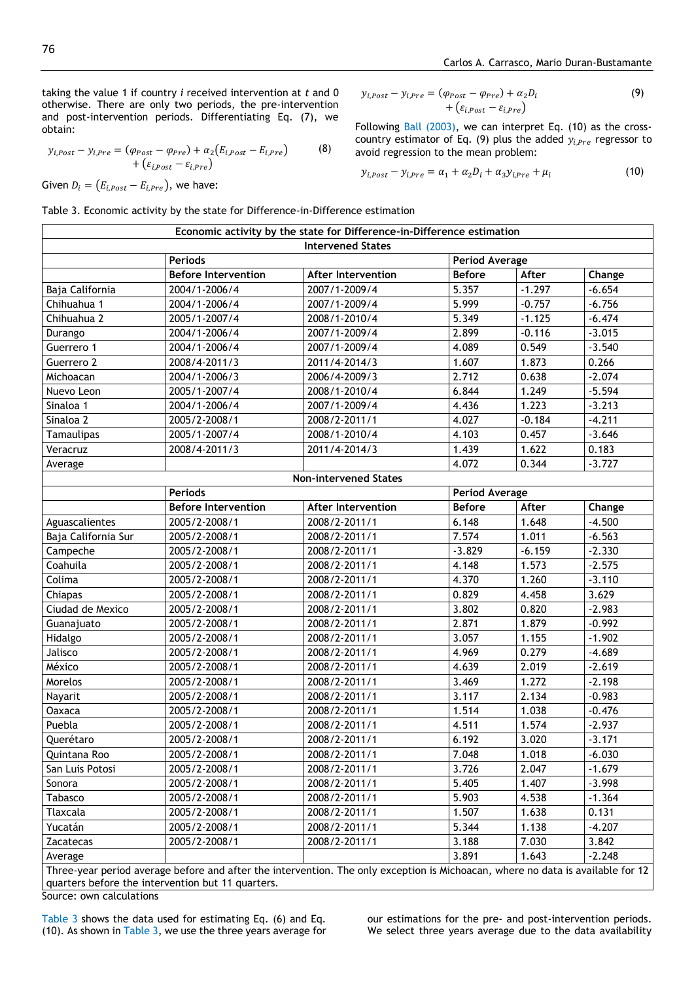taking the value 1 if country *i* received intervention at *t* and 0 otherwise. There are only two periods, the pre-intervention and post-intervention periods. Differentiating Eq. (7), we obtain:

$$
y_{i,Post} - y_{i,Pre} = (\varphi_{Post} - \varphi_{Pre}) + \alpha_2 (E_{i,Post} - E_{i,Pre})
$$
\n
$$
+ (\varepsilon_{i,Post} - \varepsilon_{i,Pre})
$$
\n(8)

Given  $D_i = (E_{i, Post} - E_{i, Pre})$ , we have:

Table 3. Economic activity by the state for Difference-in-Difference estimation

$$
y_{i,Post} - y_{i,Pre} = (\varphi_{Post} - \varphi_{Pre}) + \alpha_2 D_i
$$
  
+ (\varepsilon\_{i,Post} - \varepsilon\_{i,Pre}) \t\t(9)

Following Ball (2003), we can interpret Eq. (10) as the crosscountry estimator of Eq. (9) plus the added  $y_{i,Pre}$  regressor to avoid regression to the mean problem:

$$
y_{i,Post} - y_{i,Pre} = \alpha_1 + \alpha_2 D_i + \alpha_3 y_{i,Pre} + \mu_i
$$
\n(10)

|                     | <b>Periods</b>             | <b>Intervened States</b>     | <b>Period Average</b> |                       |          |  |
|---------------------|----------------------------|------------------------------|-----------------------|-----------------------|----------|--|
|                     | <b>Before Intervention</b> | <b>After Intervention</b>    | <b>Before</b>         | After                 | Change   |  |
| Baja California     | 2004/1-2006/4              | 2007/1-2009/4                | 5.357                 | $-1.297$              | $-6.654$ |  |
| Chihuahua 1         | 2004/1-2006/4              | 2007/1-2009/4                | 5.999                 | $-0.757$              | $-6.756$ |  |
| Chihuahua 2         | 2005/1-2007/4              | 2008/1-2010/4                | 5.349                 | $-1.125$              | $-6.474$ |  |
|                     | 2004/1-2006/4              |                              | 2.899                 |                       |          |  |
| Durango             |                            | 2007/1-2009/4                |                       | $-0.116$              | $-3.015$ |  |
| Guerrero 1          | 2004/1-2006/4              | 2007/1-2009/4                | 4.089                 | 0.549                 | $-3.540$ |  |
| Guerrero 2          | 2008/4-2011/3              | 2011/4-2014/3                | 1.607                 | 1.873                 | 0.266    |  |
| Michoacan           | 2004/1-2006/3              | 2006/4-2009/3                | 2.712                 | 0.638                 | $-2.074$ |  |
| Nuevo Leon          | 2005/1-2007/4              | 2008/1-2010/4                | 6.844                 | 1.249                 | $-5.594$ |  |
| Sinaloa 1           | 2004/1-2006/4              | 2007/1-2009/4                | 4.436                 | 1.223                 | $-3.213$ |  |
| Sinaloa 2           | 2005/2-2008/1              | 2008/2-2011/1                | 4.027                 | $-0.184$              | $-4.211$ |  |
| Tamaulipas          | 2005/1-2007/4              | 2008/1-2010/4                | 4.103                 | 0.457                 | $-3.646$ |  |
| Veracruz            | 2008/4-2011/3              | 2011/4-2014/3                | 1.439                 | 1.622                 | 0.183    |  |
| Average             |                            |                              | 4.072                 | 0.344                 | $-3.727$ |  |
|                     |                            | <b>Non-intervened States</b> |                       |                       |          |  |
|                     | <b>Periods</b>             |                              |                       | <b>Period Average</b> |          |  |
|                     | <b>Before Intervention</b> | <b>After Intervention</b>    | <b>Before</b>         | After                 | Change   |  |
| Aguascalientes      | 2005/2-2008/1              | 2008/2-2011/1                | 6.148                 | 1.648                 | $-4.500$ |  |
| Baja California Sur | 2005/2-2008/1              | 2008/2-2011/1                | 7.574                 | 1.011                 | $-6.563$ |  |
| Campeche            | 2005/2-2008/1              | 2008/2-2011/1                | $-3.829$              | $-6.159$              | $-2.330$ |  |
| Coahuila            | 2005/2-2008/1              | 2008/2-2011/1                | 4.148                 | 1.573                 | $-2.575$ |  |
| Colima              | 2005/2-2008/1              | 2008/2-2011/1                | 4.370                 | 1.260                 | $-3.110$ |  |
| Chiapas             | 2005/2-2008/1              | 2008/2-2011/1                | 0.829                 | 4.458                 | 3.629    |  |
| Ciudad de Mexico    | 2005/2-2008/1              | 2008/2-2011/1                | 3.802                 | 0.820                 | $-2.983$ |  |
| Guanajuato          | 2005/2-2008/1              | 2008/2-2011/1                | 2.871                 | 1.879                 | $-0.992$ |  |
| Hidalgo             | 2005/2-2008/1              | 2008/2-2011/1                | 3.057                 | 1.155                 | $-1.902$ |  |
| Jalisco             | 2005/2-2008/1              | 2008/2-2011/1                | 4.969                 | 0.279                 | $-4.689$ |  |
| México              | 2005/2-2008/1              | 2008/2-2011/1                | 4.639                 | 2.019                 | $-2.619$ |  |
| Morelos             | 2005/2-2008/1              | 2008/2-2011/1                | 3.469                 | 1.272                 | $-2.198$ |  |
| Nayarit             | 2005/2-2008/1              | 2008/2-2011/1                | 3.117                 | 2.134                 | $-0.983$ |  |
| Oaxaca              | 2005/2-2008/1              | 2008/2-2011/1                | 1.514                 | 1.038                 | $-0.476$ |  |
| Puebla              | 2005/2-2008/1              | 2008/2-2011/1                | 4.511                 | 1.574                 | $-2.937$ |  |
| Querétaro           | 2005/2-2008/1              | 2008/2-2011/1                | 6.192                 | 3.020                 | $-3.171$ |  |
| Quintana Roo        | 2005/2-2008/1              | 2008/2-2011/1                | 7.048                 | 1.018                 | $-6.030$ |  |
| San Luis Potosi     | 2005/2-2008/1              | 2008/2-2011/1                | 3.726                 | 2.047                 | $-1.679$ |  |
| Sonora              | 2005/2-2008/1              | 2008/2-2011/1                | 5.405                 | 1.407                 | $-3.998$ |  |
| Tabasco             | 2005/2-2008/1              | 2008/2-2011/1                | 5.903                 | 4.538                 | $-1.364$ |  |
| Tlaxcala            | 2005/2-2008/1              | 2008/2-2011/1                | 1.507                 | 1.638                 | 0.131    |  |
| Yucatán             | 2005/2-2008/1              | 2008/2-2011/1                | 5.344                 | 1.138                 | $-4.207$ |  |
| Zacatecas           | 2005/2-2008/1              | 2008/2-2011/1                | 3.188                 | 7.030                 | 3.842    |  |
|                     |                            |                              |                       |                       |          |  |

Three-year period average before and after the intervention. The only exception is Michoacan, where no data is available for 12 quarters before the intervention but 11 quarters. Source: own calculations

Table 3 shows the data used for estimating Eq. (6) and Eq. (10). As shown in Table 3, we use the three years average for our estimations for the pre- and post-intervention periods. We select three years average due to the data availability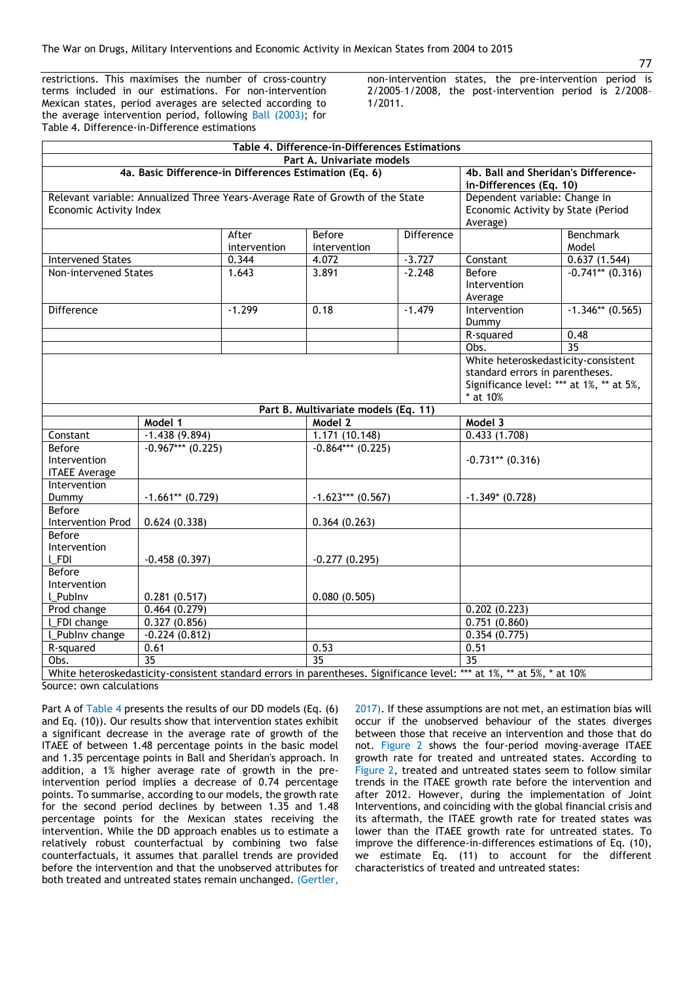restrictions. This maximises the number of cross-country terms included in our estimations. For non-intervention Mexican states, period averages are selected according to the average intervention period, following Ball (2003); for Table 4. Difference-in-Difference estimations

non-intervention states, the pre-intervention period is 2/2005–1/2008, the post-intervention period is 2/2008– 1/2011.

|                                                                                                                                           |                    |                       | Table 4. Difference-in-Differences Estimations |                                                                |                                                                                                                                |                           |  |
|-------------------------------------------------------------------------------------------------------------------------------------------|--------------------|-----------------------|------------------------------------------------|----------------------------------------------------------------|--------------------------------------------------------------------------------------------------------------------------------|---------------------------|--|
|                                                                                                                                           |                    |                       | Part A. Univariate models                      |                                                                |                                                                                                                                |                           |  |
| 4a. Basic Difference-in Differences Estimation (Eq. 6)                                                                                    |                    |                       |                                                | 4b. Ball and Sheridan's Difference-<br>in-Differences (Eq. 10) |                                                                                                                                |                           |  |
| Relevant variable: Annualized Three Years-Average Rate of Growth of the State<br>Economic Activity Index                                  |                    |                       |                                                |                                                                | Dependent variable: Change in<br>Economic Activity by State (Period<br>Average)                                                |                           |  |
|                                                                                                                                           |                    | After<br>intervention | Before<br>intervention                         | Difference                                                     |                                                                                                                                | <b>Benchmark</b><br>Model |  |
| <b>Intervened States</b>                                                                                                                  |                    | 0.344                 | 4.072                                          | $-3.727$                                                       | Constant                                                                                                                       | 0.637(1.544)              |  |
| Non-intervened States                                                                                                                     |                    | 1.643                 | 3.891                                          | $-2.248$                                                       | Before<br>Intervention<br>Average                                                                                              | $-0.741**$ (0.316)        |  |
| Difference                                                                                                                                |                    | $-1.299$              | 0.18                                           | $-1.479$                                                       | Intervention<br>Dummy                                                                                                          | $-1.346**$ (0.565)        |  |
|                                                                                                                                           |                    |                       |                                                |                                                                | R-squared                                                                                                                      | 0.48                      |  |
|                                                                                                                                           |                    |                       |                                                |                                                                | Obs.                                                                                                                           | $\overline{35}$           |  |
|                                                                                                                                           |                    |                       |                                                |                                                                | White heteroskedasticity-consistent<br>standard errors in parentheses.<br>Significance level: *** at 1%, ** at 5%,<br>* at 10% |                           |  |
|                                                                                                                                           |                    |                       | Part B. Multivariate models (Eq. 11)           |                                                                |                                                                                                                                |                           |  |
|                                                                                                                                           | Model 1            |                       | Model 2                                        |                                                                | Model 3                                                                                                                        |                           |  |
| Constant                                                                                                                                  | $-1.438(9.894)$    |                       | 1.171(10.148)                                  |                                                                | 0.433(1.708)                                                                                                                   |                           |  |
| Before<br>Intervention<br><b>ITAEE Average</b>                                                                                            | $-0.967***(0.225)$ |                       | $-0.864***$ (0.225)                            |                                                                | $-0.731**$ (0.316)                                                                                                             |                           |  |
| Intervention<br>Dummy                                                                                                                     | $-1.661**$ (0.729) |                       | $-1.623***$ (0.567)                            |                                                                | $-1.349*$ (0.728)                                                                                                              |                           |  |
| Before<br>Intervention Prod                                                                                                               | 0.624(0.338)       |                       | 0.364(0.263)                                   |                                                                |                                                                                                                                |                           |  |
| Before<br>Intervention<br><b>L_FDI</b>                                                                                                    | $-0.458(0.397)$    |                       | $-0.277(0.295)$                                |                                                                |                                                                                                                                |                           |  |
| Before                                                                                                                                    |                    |                       |                                                |                                                                |                                                                                                                                |                           |  |
| Intervention                                                                                                                              |                    |                       |                                                |                                                                |                                                                                                                                |                           |  |
| L_Publnv                                                                                                                                  | 0.281(0.517)       |                       | 0.080(0.505)                                   |                                                                |                                                                                                                                |                           |  |
| Prod change                                                                                                                               | 0.464(0.279)       |                       |                                                |                                                                | 0.202(0.223)                                                                                                                   |                           |  |
| L_FDI change                                                                                                                              | 0.327(0.856)       |                       |                                                |                                                                | 0.751(0.860)                                                                                                                   |                           |  |
| L_Publnv change                                                                                                                           | $-0.224(0.812)$    |                       |                                                |                                                                | 0.354(0.775)                                                                                                                   |                           |  |
| R-squared                                                                                                                                 | 0.61               |                       | 0.53                                           |                                                                | 0.51                                                                                                                           |                           |  |
| Obs.                                                                                                                                      | $\overline{35}$    |                       | $\overline{35}$                                |                                                                | $\overline{35}$                                                                                                                |                           |  |
| White beterocked acticity-consistent standard errors in parentheses Significance level: *** at $10^\circ$ ** at $5^\circ$ * at $10^\circ$ |                    |                       |                                                |                                                                |                                                                                                                                |                           |  |

White heteroskedasticity-consistent standard errors in parentheses. Significance level: \*\*\* at 1%, \*\* at 5%, \* at 10% Source: own calculations

Part A of Table 4 presents the results of our DD models (Eq. (6) and Eq. (10)). Our results show that intervention states exhibit a significant decrease in the average rate of growth of the ITAEE of between 1.48 percentage points in the basic model and 1.35 percentage points in Ball and Sheridan's approach. In addition, a 1% higher average rate of growth in the preintervention period implies a decrease of 0.74 percentage points. To summarise, according to our models, the growth rate for the second period declines by between 1.35 and 1.48 percentage points for the Mexican states receiving the intervention. While the DD approach enables us to estimate a relatively robust counterfactual by combining two false counterfactuals, it assumes that parallel trends are provided before the intervention and that the unobserved attributes for both treated and untreated states remain unchanged. (Gertler,

2017). If these assumptions are not met, an estimation bias will occur if the unobserved behaviour of the states diverges between those that receive an intervention and those that do not. Figure 2 shows the four-period moving-average ITAEE growth rate for treated and untreated states. According to Figure 2, treated and untreated states seem to follow similar trends in the ITAEE growth rate before the intervention and after 2012. However, during the implementation of Joint Interventions, and coinciding with the global financial crisis and its aftermath, the ITAEE growth rate for treated states was lower than the ITAEE growth rate for untreated states. To improve the difference-in-differences estimations of Eq. (10), we estimate Eq. (11) to account for the different characteristics of treated and untreated states: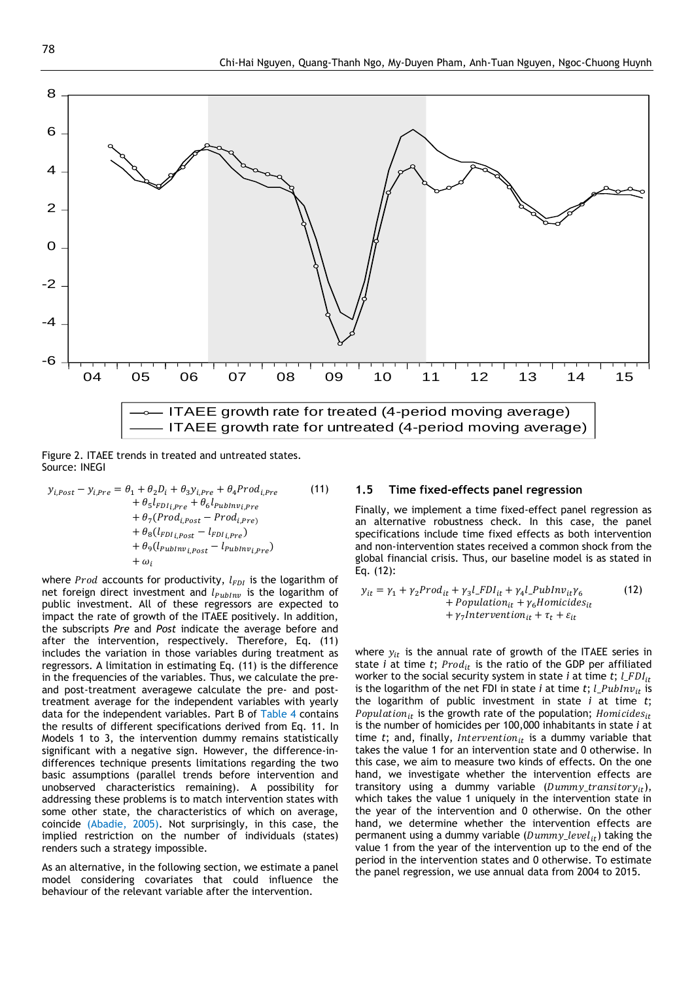

Figure 2. ITAEE trends in treated and untreated states. Source: INEGI

 $y_{i, Post} - y_{i, Pre} = \theta_1 + \theta_2 D_i + \theta_3 y_{i, Pre} + \theta_4 Prod_{i, Pre}$  $+ \theta_5 l_{FDl_{i,Pre}} + \theta_6 l_{Publnv_{i,Pre}}$ +  $\theta_7(Prod_{i, Post} - Prod_{i, Pre)}$ +  $\theta_8(l_{FDI_{i,Post}} - l_{FDI_{i,Pre}})$  $+ \theta_9(l_{\text{PubInv}_{i, Post}} - l_{\text{PubInv}_{i, Pre}})$  $+\omega$ (11)

where *Prod* accounts for productivity,  $l_{FDI}$  is the logarithm of net foreign direct investment and  $l_{\text{PubInv}}$  is the logarithm of public investment. All of these regressors are expected to impact the rate of growth of the ITAEE positively. In addition, the subscripts *Pre* and *Post* indicate the average before and after the intervention, respectively. Therefore, Eq. (11) includes the variation in those variables during treatment as regressors. A limitation in estimating Eq. (11) is the difference in the frequencies of the variables. Thus, we calculate the preand post-treatment averagewe calculate the pre- and posttreatment average for the independent variables with yearly data for the independent variables. Part B of Table 4 contains the results of different specifications derived from Eq. 11. In Models 1 to 3, the intervention dummy remains statistically significant with a negative sign. However, the difference-indifferences technique presents limitations regarding the two basic assumptions (parallel trends before intervention and unobserved characteristics remaining). A possibility for addressing these problems is to match intervention states with some other state, the characteristics of which on average, coincide (Abadie, 2005). Not surprisingly, in this case, the implied restriction on the number of individuals (states) renders such a strategy impossible.

As an alternative, in the following section, we estimate a panel model considering covariates that could influence the behaviour of the relevant variable after the intervention.

#### **1.5 Time fixed-effects panel regression**

Finally, we implement a time fixed-effect panel regression as an alternative robustness check. In this case, the panel specifications include time fixed effects as both intervention and non-intervention states received a common shock from the global financial crisis. Thus, our baseline model is as stated in Eq. (12):

$$
y_{it} = \gamma_1 + \gamma_2 Prod_{it} + \gamma_3 l\_FDI_{it} + \gamma_4 l\_PubInv_{it}\gamma_6
$$
  
+ *Population<sub>it</sub>* +  $\gamma_6$ *Homicides<sub>it</sub>*  
+  $\gamma_7$ *Intervention<sub>it</sub>* +  $\tau_t$  +  $\varepsilon_{it}$  (12)

where  $y_{it}$  is the annual rate of growth of the ITAEE series in state  $i$  at time  $t$ ;  $Prod_{it}$  is the ratio of the GDP per affiliated worker to the social security system in state  $i$  at time  $t$ ;  $l$ <sub>-FDI $_{it}$ </sub> is the logarithm of the net FDI in state  $i$  at time  $t$ ;  $l\_PubInv_{it}$  is the logarithm of public investment in state *i* at time *t*; Population<sub>it</sub> is the growth rate of the population; Homicides<sub>it</sub> is the number of homicides per 100,000 inhabitants in state *i* at time  $t$ ; and, finally, *Intervention*<sub>it</sub> is a dummy variable that takes the value 1 for an intervention state and 0 otherwise. In this case, we aim to measure two kinds of effects. On the one hand, we investigate whether the intervention effects are transitory using a dummy variable  $(Dummy\_transitory_{it}),$ which takes the value 1 uniquely in the intervention state in the year of the intervention and 0 otherwise. On the other hand, we determine whether the intervention effects are permanent using a dummy variable  $(Dummy\_level_{it})$  taking the value 1 from the year of the intervention up to the end of the period in the intervention states and 0 otherwise. To estimate the panel regression, we use annual data from 2004 to 2015.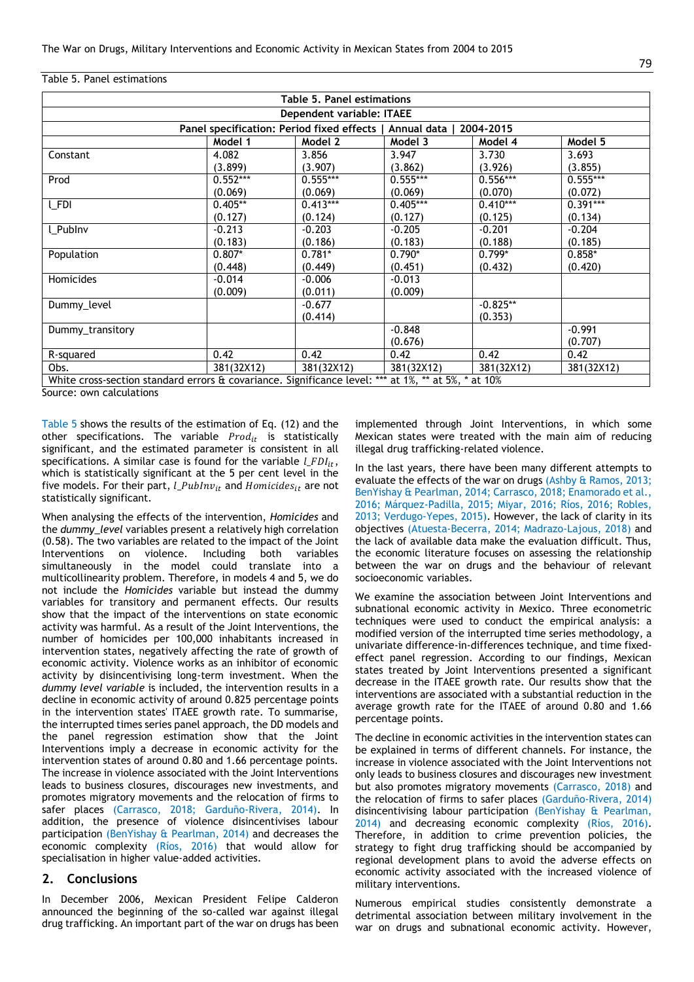#### Table 5. Panel estimations

| <b>Table 5. Panel estimations</b>                                                                   |            |            |            |            |            |  |
|-----------------------------------------------------------------------------------------------------|------------|------------|------------|------------|------------|--|
| Dependent variable: ITAEE                                                                           |            |            |            |            |            |  |
| Panel specification: Period fixed effects   Annual data   2004-2015                                 |            |            |            |            |            |  |
|                                                                                                     | Model 1    | Model 2    | Model 3    | Model 4    | Model 5    |  |
| Constant                                                                                            | 4.082      | 3.856      | 3.947      | 3.730      | 3.693      |  |
|                                                                                                     | (3.899)    | (3.907)    | (3.862)    | (3.926)    | (3.855)    |  |
| Prod                                                                                                | $0.552***$ | $0.555***$ | $0.555***$ | $0.556***$ | $0.555***$ |  |
|                                                                                                     | (0.069)    | (0.069)    | (0.069)    | (0.070)    | (0.072)    |  |
| <b>LFDI</b>                                                                                         | $0.405**$  | $0.413***$ | $0.405***$ | $0.410***$ | $0.391***$ |  |
|                                                                                                     | (0.127)    | (0.124)    | (0.127)    | (0.125)    | (0.134)    |  |
| l Publny                                                                                            | $-0.213$   | $-0.203$   | $-0.205$   | $-0.201$   | $-0.204$   |  |
|                                                                                                     | (0.183)    | (0.186)    | (0.183)    | (0.188)    | (0.185)    |  |
| Population                                                                                          | $0.807*$   | $0.781*$   | $0.790*$   | $0.799*$   | $0.858*$   |  |
|                                                                                                     | (0.448)    | (0.449)    | (0.451)    | (0.432)    | (0.420)    |  |
| Homicides                                                                                           | $-0.014$   | $-0.006$   | $-0.013$   |            |            |  |
|                                                                                                     | (0.009)    | (0.011)    | (0.009)    |            |            |  |
| Dummy level                                                                                         |            | $-0.677$   |            | $-0.825**$ |            |  |
|                                                                                                     |            | (0.414)    |            | (0.353)    |            |  |
| Dummy transitory                                                                                    |            |            | $-0.848$   |            | $-0.991$   |  |
|                                                                                                     |            |            | (0.676)    |            | (0.707)    |  |
| R-squared                                                                                           | 0.42       | 0.42       | 0.42       | 0.42       | 0.42       |  |
| Obs.                                                                                                | 381(32X12) | 381(32X12) | 381(32X12) | 381(32X12) | 381(32X12) |  |
| White cross-section standard errors & covariance. Significance level: *** at 1%, ** at 5%, * at 10% |            |            |            |            |            |  |

Source: own calculations

Table 5 shows the results of the estimation of Eq. (12) and the other specifications. The variable  $Prod_{it}$  is statistically significant, and the estimated parameter is consistent in all specifications. A similar case is found for the variable  $l\_FDI_{it}$ , which is statistically significant at the 5 per cent level in the five models. For their part,  $l\_PubInv_{it}$  and  $Homicides_{it}$  are not statistically significant.

When analysing the effects of the intervention, *Homicides* and the *dummy\_level* variables present a relatively high correlation (0.58). The two variables are related to the impact of the Joint Interventions on violence. Including both variables simultaneously in the model could translate into a multicollinearity problem. Therefore, in models 4 and 5, we do not include the *Homicides* variable but instead the dummy variables for transitory and permanent effects. Our results show that the impact of the interventions on state economic activity was harmful. As a result of the Joint Interventions, the number of homicides per 100,000 inhabitants increased in intervention states, negatively affecting the rate of growth of economic activity. Violence works as an inhibitor of economic activity by disincentivising long-term investment. When the *dummy level variable* is included, the intervention results in a decline in economic activity of around 0.825 percentage points in the intervention states' ITAEE growth rate. To summarise, the interrupted times series panel approach, the DD models and the panel regression estimation show that the Joint Interventions imply a decrease in economic activity for the intervention states of around 0.80 and 1.66 percentage points. The increase in violence associated with the Joint Interventions leads to business closures, discourages new investments, and promotes migratory movements and the relocation of firms to safer places (Carrasco, 2018; Garduño-Rivera, 2014). In addition, the presence of violence disincentivises labour participation (BenYishay & Pearlman, 2014) and decreases the economic complexity (Ríos, 2016) that would allow for specialisation in higher value-added activities.

#### **2. Conclusions**

In December 2006, Mexican President Felipe Calderon announced the beginning of the so-called war against illegal drug trafficking. An important part of the war on drugs has been

implemented through Joint Interventions, in which some Mexican states were treated with the main aim of reducing illegal drug trafficking-related violence.

In the last years, there have been many different attempts to evaluate the effects of the war on drugs (Ashby & Ramos, 2013; BenYishay & Pearlman, 2014; Carrasco, 2018; Enamorado et al., 2016; Márquez-Padilla, 2015; Miyar, 2016; Ríos, 2016; Robles, 2013; Verdugo-Yepes, 2015). However, the lack of clarity in its objectives (Atuesta-Becerra, 2014; Madrazo-Lajous, 2018) and the lack of available data make the evaluation difficult. Thus, the economic literature focuses on assessing the relationship between the war on drugs and the behaviour of relevant socioeconomic variables.

We examine the association between Joint Interventions and subnational economic activity in Mexico. Three econometric techniques were used to conduct the empirical analysis: a modified version of the interrupted time series methodology, a univariate difference-in-differences technique, and time fixedeffect panel regression. According to our findings, Mexican states treated by Joint Interventions presented a significant decrease in the ITAEE growth rate. Our results show that the interventions are associated with a substantial reduction in the average growth rate for the ITAEE of around 0.80 and 1.66 percentage points.

The decline in economic activities in the intervention states can be explained in terms of different channels. For instance, the increase in violence associated with the Joint Interventions not only leads to business closures and discourages new investment but also promotes migratory movements (Carrasco, 2018) and the relocation of firms to safer places (Garduño-Rivera, 2014) disincentivising labour participation (BenYishay & Pearlman, 2014) and decreasing economic complexity (Ríos, 2016). Therefore, in addition to crime prevention policies, the strategy to fight drug trafficking should be accompanied by regional development plans to avoid the adverse effects on economic activity associated with the increased violence of military interventions.

Numerous empirical studies consistently demonstrate a detrimental association between military involvement in the war on drugs and subnational economic activity. However,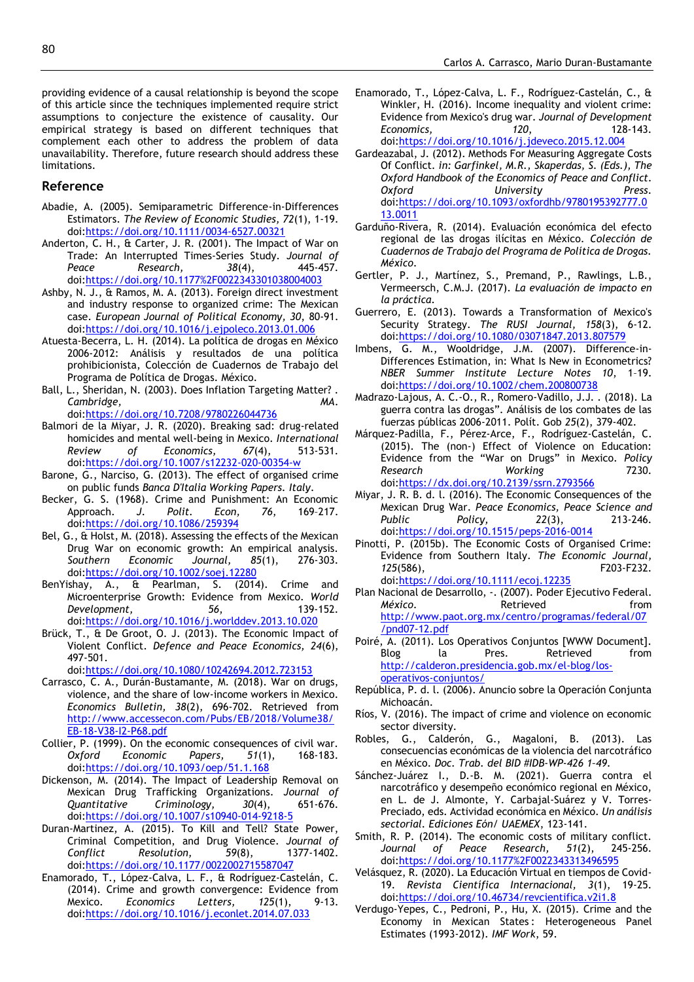providing evidence of a causal relationship is beyond the scope of this article since the techniques implemented require strict assumptions to conjecture the existence of causality. Our empirical strategy is based on different techniques that complement each other to address the problem of data unavailability. Therefore, future research should address these limitations.

#### **Reference**

- Abadie, A. (2005). Semiparametric Difference-in-Differences Estimators. *The Review of Economic Studies, 72*(1), 1-19. doi[:https://doi.org/10.1111/0034-6527.00321](https://doi.org/10.1111/0034-6527.00321)
- Anderton, C. H., & Carter, J. R. (2001). The Impact of War on Trade: An Interrupted Times-Series Study. *Journal of Peace Research, 38*(4), 445-457. doi[:https://doi.org/10.1177%2F0022343301038004003](https://doi.org/10.1177%2F0022343301038004003)
- Ashby, N. J., & Ramos, M. A. (2013). Foreign direct investment and industry response to organized crime: The Mexican case. *European Journal of Political Economy, 30*, 80-91. doi[:https://doi.org/10.1016/j.ejpoleco.2013.01.006](https://doi.org/10.1016/j.ejpoleco.2013.01.006)
- Atuesta-Becerra, L. H. (2014). La política de drogas en México 2006-2012: Análisis y resultados de una política prohibicionista, Colección de Cuadernos de Trabajo del Programa de Política de Drogas. México.
- Ball, L., Sheridan, N. (2003). Does Inflation Targeting Matter? . *Cambridge, MA*. doi[:https://doi.org/10.7208/9780226044736](https://doi.org/10.7208/9780226044736)
- Balmori de la Miyar, J. R. (2020). Breaking sad: drug-related homicides and mental well-being in Mexico. *International Review of Economics, 67*(4), 513-531. doi[:https://doi.org/10.1007/s12232-020-00354-w](https://doi.org/10.1007/s12232-020-00354-w)
- Barone, G., Narciso, G. (2013). The effect of organised crime on public funds *Banca D'Italia Working Papers. Italy*.
- Becker, G. S. (1968). Crime and Punishment: An Economic Approach. *J. Polit. Econ, 76*, 169–217. doi[:https://doi.org/10.1086/259394](https://doi.org/10.1086/259394)
- Bel, G., & Holst, M. (2018). Assessing the effects of the Mexican Drug War on economic growth: An empirical analysis. *Southern Economic Journal, 85*(1), 276-303. doi[:https://doi.org/10.1002/soej.12280](https://doi.org/10.1002/soej.12280)
- BenYishay, A., & Pearlman, S. (2014). Crime and Microenterprise Growth: Evidence from Mexico. *World Development, 56*, 139-152. doi[:https://doi.org/10.1016/j.worlddev.2013.10.020](https://doi.org/10.1016/j.worlddev.2013.10.020)
- Brück, T., & De Groot, O. J. (2013). The Economic Impact of Violent Conflict. *Defence and Peace Economics, 24*(6), 497-501.
	- doi[:https://doi.org/10.1080/10242694.2012.723153](https://doi.org/10.1080/10242694.2012.723153)
- Carrasco, C. A., Durán-Bustamante, M. (2018). War on drugs, violence, and the share of low-income workers in Mexico. *Economics Bulletin, 38*(2), 696-702. Retrieved from [http://www.accessecon.com/Pubs/EB/2018/Volume38/](http://www.accessecon.com/Pubs/EB/2018/Volume38/EB-18-V38-I2-P68.pdf) [EB-18-V38-I2-P68.pdf](http://www.accessecon.com/Pubs/EB/2018/Volume38/EB-18-V38-I2-P68.pdf)
- Collier, P. (1999). On the economic consequences of civil war. *Oxford Economic Papers, 51*(1), 168-183. doi[:https://doi.org/10.1093/oep/51.1.168](https://doi.org/10.1093/oep/51.1.168)
- Dickenson, M. (2014). The Impact of Leadership Removal on Mexican Drug Trafficking Organizations. *Journal of Quantitative Criminology, 30*(4), 651-676. doi[:https://doi.org/10.1007/s10940-014-9218-5](https://doi.org/10.1007/s10940-014-9218-5)
- Duran-Martinez, A. (2015). To Kill and Tell? State Power, Criminal Competition, and Drug Violence. *Journal of Conflict Resolution, 59*(8), 1377-1402. doi[:https://doi.org/10.1177/0022002715587047](https://doi.org/10.1177/0022002715587047)
- Enamorado, T., López-Calva, L. F., & Rodríguez-Castelán, C. (2014). Crime and growth convergence: Evidence from Mexico. *Economics Letters, 125*(1), 9-13. doi[:https://doi.org/10.1016/j.econlet.2014.07.033](https://doi.org/10.1016/j.econlet.2014.07.033)
- Enamorado, T., López-Calva, L. F., Rodríguez-Castelán, C., & Winkler, H. (2016). Income inequality and violent crime: Evidence from Mexico's drug war. *Journal of Development Economics, 120*, 128-143. doi[:https://doi.org/10.1016/j.jdeveco.2015.12.004](https://doi.org/10.1016/j.jdeveco.2015.12.004)
- Gardeazabal, J. (2012). Methods For Measuring Aggregate Costs Of Conflict. *in: Garfinkel, M.R., Skaperdas, S. (Eds.), The Oxford Handbook of the Economics of Peace and Conflict. Oxford University Press*. doi[:https://doi.org/10.1093/oxfordhb/9780195392777.0](https://doi.org/10.1093/oxfordhb/9780195392777.013.0011) [13.0011](https://doi.org/10.1093/oxfordhb/9780195392777.013.0011)
- Garduño-Rivera, R. (2014). Evaluación económica del efecto regional de las drogas ilícitas en México. *Colección de Cuadernos de Trabajo del Programa de Política de Drogas. México*.
- Gertler, P. J., Martínez, S., Premand, P., Rawlings, L.B., Vermeersch, C.M.J. (2017). *La evaluación de impacto en la práctica*.
- Guerrero, E. (2013). Towards a Transformation of Mexico's Security Strategy. *The RUSI Journal, 158*(3), 6-12. doi[:https://doi.org/10.1080/03071847.2013.807579](https://doi.org/10.1080/03071847.2013.807579)
- Imbens, G. M., Wooldridge, J.M. (2007). Difference-in-Differences Estimation, in: What Is New in Econometrics? *NBER Summer Institute Lecture Notes 10*, 1–19. doi[:https://doi.org/10.1002/chem.200800738](https://doi.org/10.1002/chem.200800738)
- Madrazo-Lajous, A. C.-O., R., Romero-Vadillo, J.J. . (2018). La guerra contra las drogas". Análisis de los combates de las fuerzas públicas 2006-2011. Polít. Gob *25*(2), 379-402.
- Márquez-Padilla, F., Pérez-Arce, F., Rodríguez-Castelán, C. (2015). The (non-) Effect of Violence on Education: Evidence from the "War on Drugs" in Mexico. *Policy Research Working* 7230. doi[:https://dx.doi.org/10.2139/ssrn.2793566](https://dx.doi.org/10.2139/ssrn.2793566)
- Miyar, J. R. B. d. l. (2016). The Economic Consequences of the Mexican Drug War. *Peace Economics, Peace Science and Public Policy, 22*(3), 213-246. doi[:https://doi.org/10.1515/peps-2016-0014](https://doi.org/10.1515/peps-2016-0014)
- Pinotti, P. (2015b). The Economic Costs of Organised Crime: Evidence from Southern Italy. *The Economic Journal, 125*(586), F203-F232. doi[:https://doi.org/10.1111/ecoj.12235](https://doi.org/10.1111/ecoj.12235)
- Plan Nacional de Desarrollo, -. (2007). Poder Ejecutivo Federal. *México*. **Retrieved** from [http://www.paot.org.mx/centro/programas/federal/07](http://www.paot.org.mx/centro/programas/federal/07/pnd07-12.pdf) [/pnd07-12.pdf](http://www.paot.org.mx/centro/programas/federal/07/pnd07-12.pdf)
- Poiré, A. (2011). Los Operativos Conjuntos [WWW Document]. Blog la Pres. Retrieved from [http://calderon.presidencia.gob.mx/el-blog/los](http://calderon.presidencia.gob.mx/el-blog/los-operativos-conjuntos/)[operativos-conjuntos/](http://calderon.presidencia.gob.mx/el-blog/los-operativos-conjuntos/)
- República, P. d. l. (2006). Anuncio sobre la Operación Conjunta Michoacán.
- Ríos, V. (2016). The impact of crime and violence on economic sector diversity.
- Robles, G., Calderón, G., Magaloni, B. (2013). Las consecuencias económicas de la violencia del narcotráfico en México. *Doc. Trab. del BID #IDB-WP-426 1–49*.
- Sánchez-Juárez I., D.-B. M. (2021). Guerra contra el narcotráfico y desempeño económico regional en México, en L. de J. Almonte, Y. Carbajal-Suárez y V. Torres-Preciado, eds. Actividad económica en México. *Un análisis sectorial. Ediciones Eón/ UAEMEX*, 123-141.
- Smith, R. P. (2014). The economic costs of military conflict. *Journal of Peace Research, 51*(2), 245-256. doi[:https://doi.org/10.1177%2F0022343313496595](https://doi.org/10.1177%2F0022343313496595)
- Velásquez, R. (2020). La Educación Virtual en tiempos de Covid-19. *Revista Científica Internacional, 3*(1), 19-25. doi[:https://doi.org/10.46734/revcientifica.v2i1.8](https://doi.org/10.46734/revcientifica.v2i1.8)
- Verdugo-Yepes, C., Pedroni, P., Hu, X. (2015). Crime and the Economy in Mexican States: Heterogeneous Panel Estimates (1993-2012). *IMF Work*, 59.